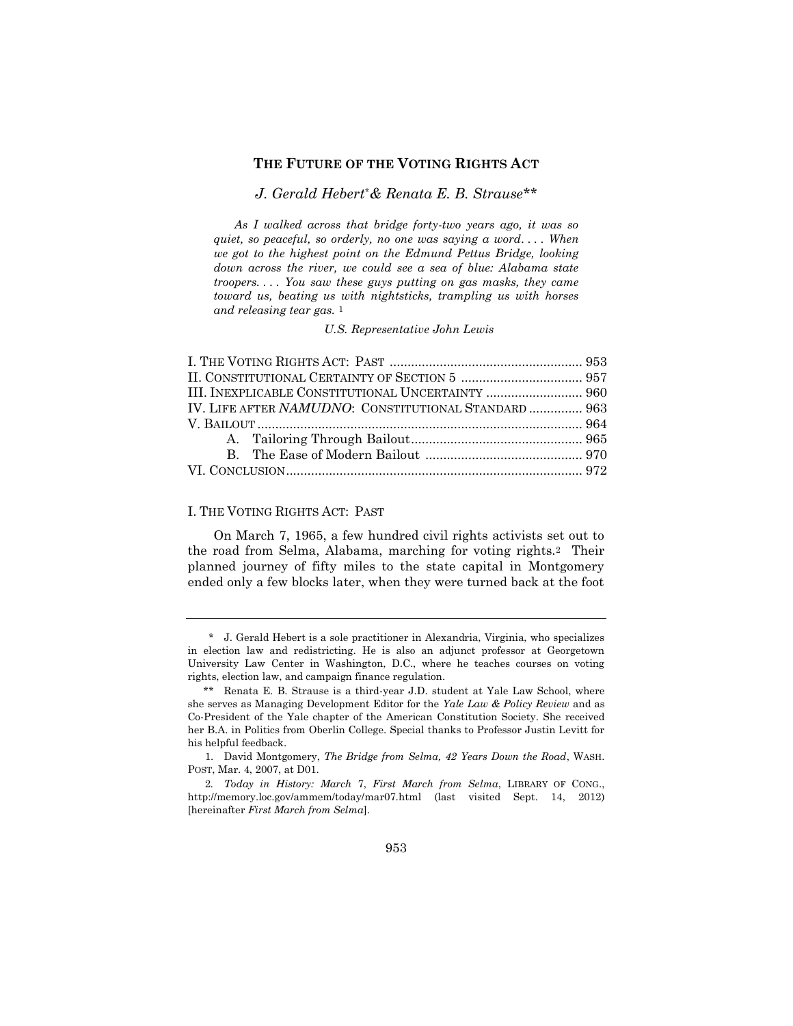# **THE FUTURE OF THE VOTING RIGHTS ACT**

## *J. Gerald Hebert\*& Renata E. B. Strause\*\**

 *As I walked across that bridge forty-two years ago, it was so quiet, so peaceful, so orderly, no one was saying a word. . . . When we got to the highest point on the Edmund Pettus Bridge, looking down across the river, we could see a sea of blue: Alabama state troopers. . . . You saw these guys putting on gas masks, they came toward us, beating us with nightsticks, trampling us with horses and releasing tear gas.* 1

*U.S. Representative John Lewis*

|                                                      | III. INEXPLICABLE CONSTITUTIONAL UNCERTAINTY  960 |  |
|------------------------------------------------------|---------------------------------------------------|--|
| IV. LIFE AFTER NAMUDNO: CONSTITUTIONAL STANDARD  963 |                                                   |  |
|                                                      |                                                   |  |
|                                                      |                                                   |  |
|                                                      |                                                   |  |
|                                                      |                                                   |  |
|                                                      |                                                   |  |

## I. THE VOTING RIGHTS ACT: PAST

On March 7, 1965, a few hundred civil rights activists set out to the road from Selma, Alabama, marching for voting rights.2 Their planned journey of fifty miles to the state capital in Montgomery ended only a few blocks later, when they were turned back at the foot

<sup>\*</sup> J. Gerald Hebert is a sole practitioner in Alexandria, Virginia, who specializes in election law and redistricting. He is also an adjunct professor at Georgetown University Law Center in Washington, D.C., where he teaches courses on voting rights, election law, and campaign finance regulation.

<sup>\*\*</sup> Renata E. B. Strause is a third-year J.D. student at Yale Law School, where she serves as Managing Development Editor for the *Yale Law & Policy Review* and as Co-President of the Yale chapter of the American Constitution Society. She received her B.A. in Politics from Oberlin College. Special thanks to Professor Justin Levitt for his helpful feedback.

<sup>1.</sup> David Montgomery, *The Bridge from Selma, 42 Years Down the Road*, WASH. POST, Mar. 4, 2007, at D01.

<sup>2</sup>*. Today in History: March* 7, *First March from Selma*, LIBRARY OF CONG., http://memory.loc.gov/ammem/today/mar07.html (last visited Sept. 14, 2012) [hereinafter *First March from Selma*].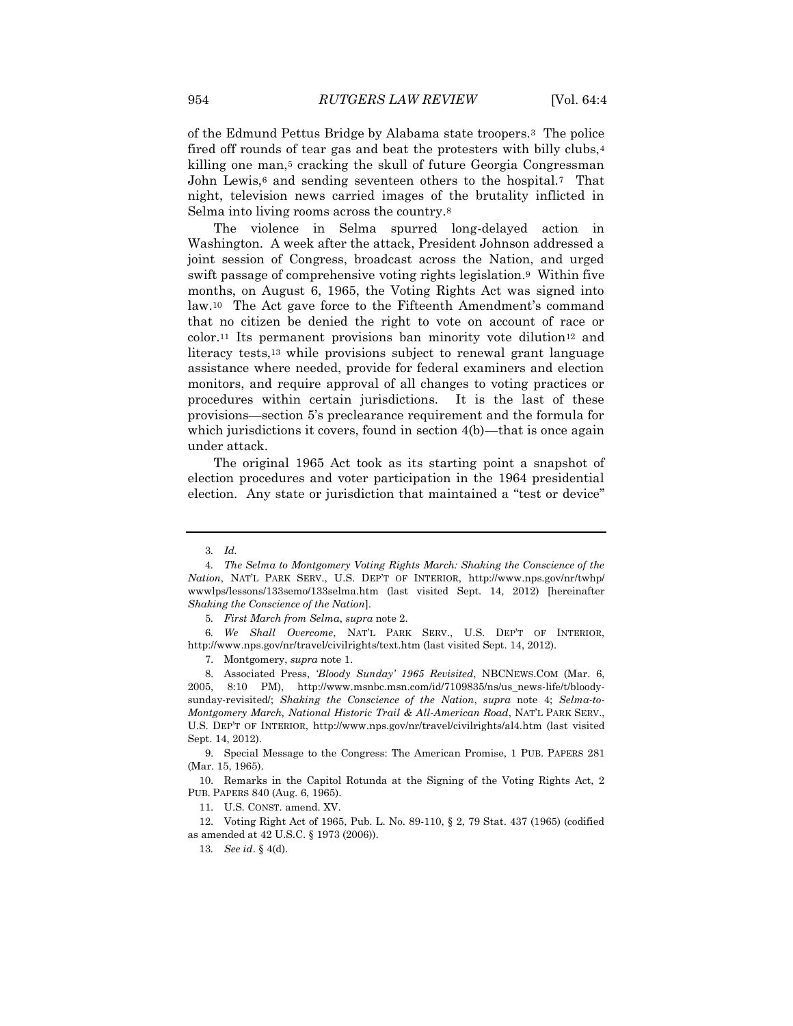of the Edmund Pettus Bridge by Alabama state troopers.3 The police fired off rounds of tear gas and beat the protesters with billy clubs,<sup>4</sup> killing one man,<sup>5</sup> cracking the skull of future Georgia Congressman John Lewis,<sup>6</sup> and sending seventeen others to the hospital.7 That night, television news carried images of the brutality inflicted in Selma into living rooms across the country.<sup>8</sup>

The violence in Selma spurred long-delayed action in Washington. A week after the attack, President Johnson addressed a joint session of Congress, broadcast across the Nation, and urged swift passage of comprehensive voting rights legislation.9 Within five months, on August 6, 1965, the Voting Rights Act was signed into law.10 The Act gave force to the Fifteenth Amendment's command that no citizen be denied the right to vote on account of race or color.<sup>11</sup> Its permanent provisions ban minority vote dilution<sup>12</sup> and literacy tests,<sup>13</sup> while provisions subject to renewal grant language assistance where needed, provide for federal examiners and election monitors, and require approval of all changes to voting practices or procedures within certain jurisdictions. It is the last of these provisions—section 5's preclearance requirement and the formula for which jurisdictions it covers, found in section 4(b)—that is once again under attack.

The original 1965 Act took as its starting point a snapshot of election procedures and voter participation in the 1964 presidential election. Any state or jurisdiction that maintained a "test or device"

6*. We Shall Overcome*, NAT'L PARK SERV., U.S. DEP'T OF INTERIOR, http://www.nps.gov/nr/travel/civilrights/text.htm (last visited Sept. 14, 2012).

7. Montgomery, *supra* note 1.

8. Associated Press, *'Bloody Sunday' 1965 Revisited*, NBCNEWS.COM (Mar. 6, 2005, 8:10 PM), http://www.msnbc.msn.com/id/7109835/ns/us\_news-life/t/bloodysunday-revisited/; *Shaking the Conscience of the Nation*, *supra* note 4; *Selma-to-Montgomery March, National Historic Trail & All-American Road*, NAT'L PARK SERV., U.S. DEP'T OF INTERIOR, http://www.nps.gov/nr/travel/civilrights/al4.htm (last visited Sept. 14, 2012).

9. Special Message to the Congress: The American Promise, 1 PUB. PAPERS 281 (Mar. 15, 1965).

10. Remarks in the Capitol Rotunda at the Signing of the Voting Rights Act, 2 PUB. PAPERS 840 (Aug. 6, 1965).

11. U.S. CONST. amend. XV.

12. Voting Right Act of 1965, Pub. L. No. 89-110, § 2, 79 Stat. 437 (1965) (codified as amended at 42 U.S.C. § 1973 (2006)).

13*. See id*. § 4(d).

<sup>3</sup>*. Id.*

<sup>4</sup>*. The Selma to Montgomery Voting Rights March: Shaking the Conscience of the Nation*, NAT'L PARK SERV., U.S. DEP'T OF INTERIOR, http://www.nps.gov/nr/twhp/ wwwlps/lessons/133semo/133selma.htm (last visited Sept. 14, 2012) [hereinafter *Shaking the Conscience of the Nation*].

<sup>5</sup>*. First March from Selma*, *supra* note 2.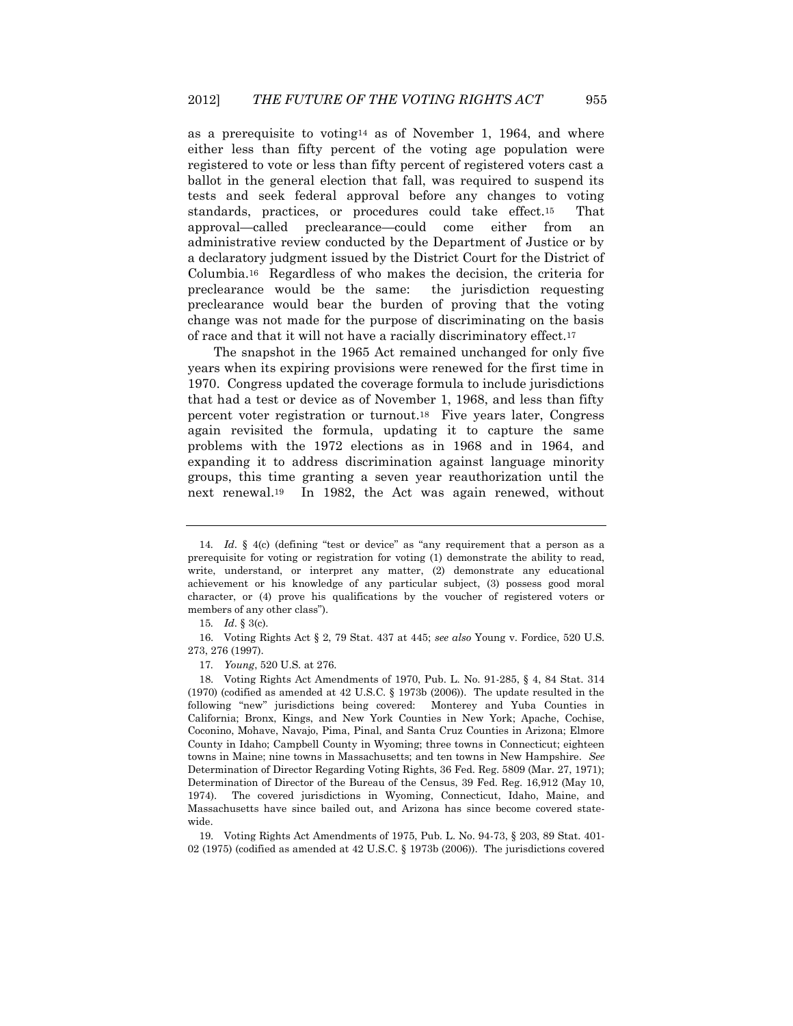as a prerequisite to voting<sup>14</sup> as of November 1, 1964, and where either less than fifty percent of the voting age population were registered to vote or less than fifty percent of registered voters cast a ballot in the general election that fall, was required to suspend its tests and seek federal approval before any changes to voting standards, practices, or procedures could take effect.15 That approval—called preclearance—could come either from an administrative review conducted by the Department of Justice or by a declaratory judgment issued by the District Court for the District of Columbia.16 Regardless of who makes the decision, the criteria for preclearance would be the same: the jurisdiction requesting preclearance would bear the burden of proving that the voting change was not made for the purpose of discriminating on the basis of race and that it will not have a racially discriminatory effect.<sup>17</sup>

The snapshot in the 1965 Act remained unchanged for only five years when its expiring provisions were renewed for the first time in 1970. Congress updated the coverage formula to include jurisdictions that had a test or device as of November 1, 1968, and less than fifty percent voter registration or turnout.18 Five years later, Congress again revisited the formula, updating it to capture the same problems with the 1972 elections as in 1968 and in 1964, and expanding it to address discrimination against language minority groups, this time granting a seven year reauthorization until the next renewal.19 In 1982, the Act was again renewed, without

<sup>14</sup>*. Id*. § 4(c) (defining "test or device" as "any requirement that a person as a prerequisite for voting or registration for voting (1) demonstrate the ability to read, write, understand, or interpret any matter, (2) demonstrate any educational achievement or his knowledge of any particular subject, (3) possess good moral character, or (4) prove his qualifications by the voucher of registered voters or members of any other class").

<sup>15</sup>*. Id*. § 3(c).

<sup>16.</sup> Voting Rights Act § 2, 79 Stat. 437 at 445; *see also* Young v. Fordice, 520 U.S. 273, 276 (1997).

<sup>17</sup>*. Young*, 520 U.S. at 276.

<sup>18.</sup> Voting Rights Act Amendments of 1970, Pub. L. No. 91-285, § 4, 84 Stat. 314 (1970) (codified as amended at 42 U.S.C. § 1973b (2006)). The update resulted in the following "new" jurisdictions being covered: Monterey and Yuba Counties in California; Bronx, Kings, and New York Counties in New York; Apache, Cochise, Coconino, Mohave, Navajo, Pima, Pinal, and Santa Cruz Counties in Arizona; Elmore County in Idaho; Campbell County in Wyoming; three towns in Connecticut; eighteen towns in Maine; nine towns in Massachusetts; and ten towns in New Hampshire. *See* Determination of Director Regarding Voting Rights, 36 Fed. Reg. 5809 (Mar. 27, 1971); Determination of Director of the Bureau of the Census, 39 Fed. Reg. 16,912 (May 10, 1974). The covered jurisdictions in Wyoming, Connecticut, Idaho, Maine, and Massachusetts have since bailed out, and Arizona has since become covered statewide.

<sup>19.</sup> Voting Rights Act Amendments of 1975, Pub. L. No. 94-73, § 203, 89 Stat. 401- 02 (1975) (codified as amended at 42 U.S.C. § 1973b (2006)). The jurisdictions covered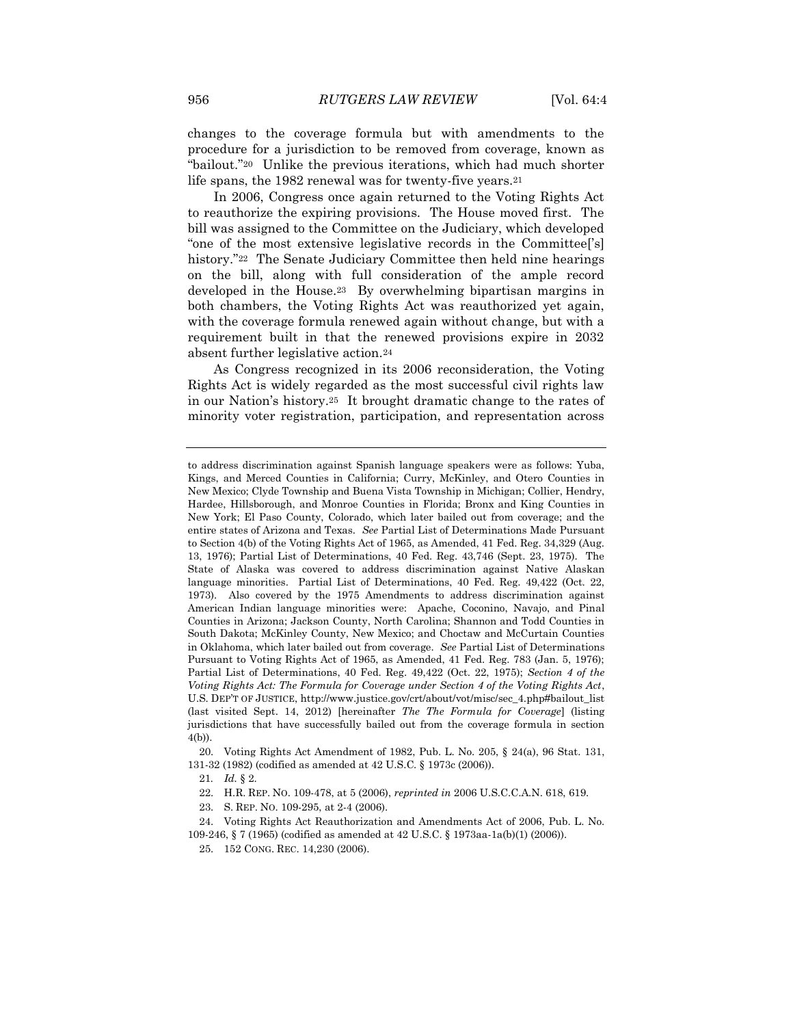changes to the coverage formula but with amendments to the procedure for a jurisdiction to be removed from coverage, known as "bailout."20 Unlike the previous iterations, which had much shorter life spans, the 1982 renewal was for twenty-five years.<sup>21</sup>

In 2006, Congress once again returned to the Voting Rights Act to reauthorize the expiring provisions. The House moved first. The bill was assigned to the Committee on the Judiciary, which developed "one of the most extensive legislative records in the Committee['s] history."<sup>22</sup> The Senate Judiciary Committee then held nine hearings on the bill, along with full consideration of the ample record developed in the House.23 By overwhelming bipartisan margins in both chambers, the Voting Rights Act was reauthorized yet again, with the coverage formula renewed again without change, but with a requirement built in that the renewed provisions expire in 2032 absent further legislative action.<sup>24</sup>

As Congress recognized in its 2006 reconsideration, the Voting Rights Act is widely regarded as the most successful civil rights law in our Nation's history.25 It brought dramatic change to the rates of minority voter registration, participation, and representation across

20. Voting Rights Act Amendment of 1982, Pub. L. No. 205, § 24(a), 96 Stat. 131, 131-32 (1982) (codified as amended at 42 U.S.C. § 1973c (2006)).

21*. Id.* § 2.

22. H.R. REP. NO. 109-478, at 5 (2006), *reprinted in* 2006 U.S.C.C.A.N. 618, 619.

23. S. REP. NO. 109-295, at 2-4 (2006).

24. Voting Rights Act Reauthorization and Amendments Act of 2006, Pub. L. No. 109-246, § 7 (1965) (codified as amended at 42 U.S.C. § 1973aa-1a(b)(1) (2006)).

25. 152 CONG. REC. 14,230 (2006).

to address discrimination against Spanish language speakers were as follows: Yuba, Kings, and Merced Counties in California; Curry, McKinley, and Otero Counties in New Mexico; Clyde Township and Buena Vista Township in Michigan; Collier, Hendry, Hardee, Hillsborough, and Monroe Counties in Florida; Bronx and King Counties in New York; El Paso County, Colorado, which later bailed out from coverage; and the entire states of Arizona and Texas. *See* Partial List of Determinations Made Pursuant to Section 4(b) of the Voting Rights Act of 1965, as Amended, 41 Fed. Reg. 34,329 (Aug. 13, 1976); Partial List of Determinations, 40 Fed. Reg. 43,746 (Sept. 23, 1975). The State of Alaska was covered to address discrimination against Native Alaskan language minorities. Partial List of Determinations, 40 Fed. Reg. 49,422 (Oct. 22, 1973). Also covered by the 1975 Amendments to address discrimination against American Indian language minorities were: Apache, Coconino, Navajo, and Pinal Counties in Arizona; Jackson County, North Carolina; Shannon and Todd Counties in South Dakota; McKinley County, New Mexico; and Choctaw and McCurtain Counties in Oklahoma, which later bailed out from coverage. *See* Partial List of Determinations Pursuant to Voting Rights Act of 1965, as Amended, 41 Fed. Reg. 783 (Jan. 5, 1976); Partial List of Determinations, 40 Fed. Reg. 49,422 (Oct. 22, 1975); *Section 4 of the Voting Rights Act: The Formula for Coverage under Section 4 of the Voting Rights Act*, U.S. DEP'T OF JUSTICE, http://www.justice.gov/crt/about/vot/misc/sec\_4.php#bailout\_list (last visited Sept. 14, 2012) [hereinafter *The The Formula for Coverage*] (listing jurisdictions that have successfully bailed out from the coverage formula in section 4(b)).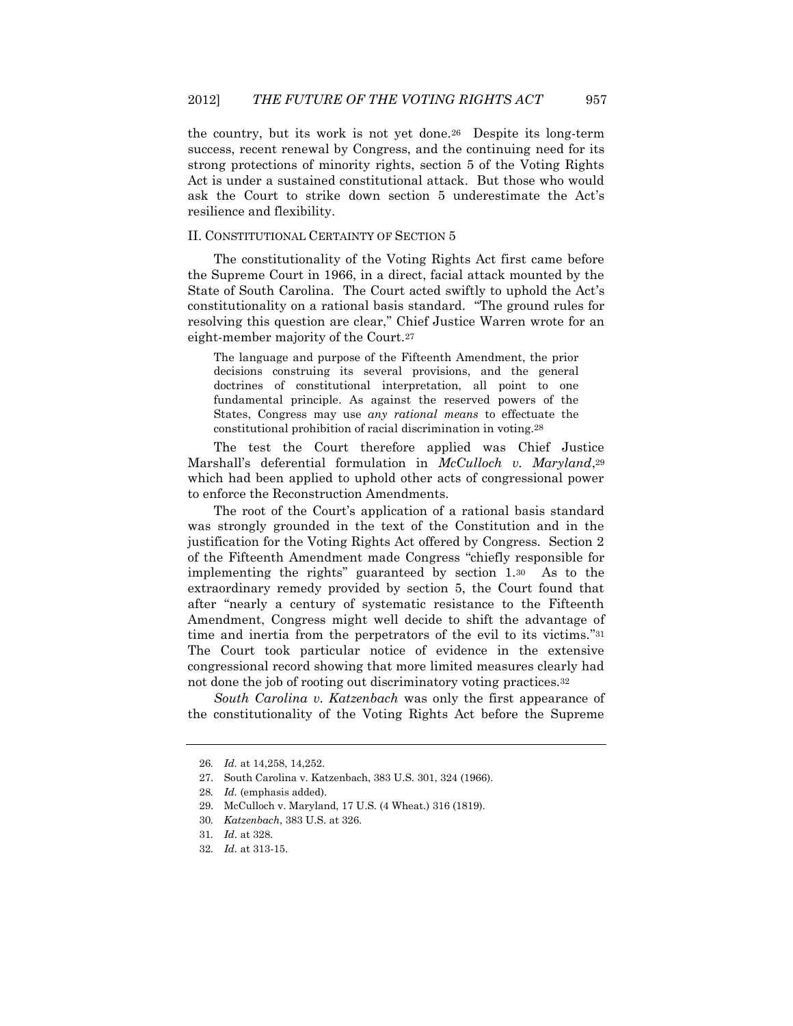the country, but its work is not yet done.26 Despite its long-term success, recent renewal by Congress, and the continuing need for its strong protections of minority rights, section 5 of the Voting Rights Act is under a sustained constitutional attack. But those who would ask the Court to strike down section 5 underestimate the Act's resilience and flexibility.

## II. CONSTITUTIONAL CERTAINTY OF SECTION 5

The constitutionality of the Voting Rights Act first came before the Supreme Court in 1966, in a direct, facial attack mounted by the State of South Carolina. The Court acted swiftly to uphold the Act's constitutionality on a rational basis standard. "The ground rules for resolving this question are clear," Chief Justice Warren wrote for an eight-member majority of the Court.<sup>27</sup>

The language and purpose of the Fifteenth Amendment, the prior decisions construing its several provisions, and the general doctrines of constitutional interpretation, all point to one fundamental principle. As against the reserved powers of the States, Congress may use *any rational means* to effectuate the constitutional prohibition of racial discrimination in voting.28

The test the Court therefore applied was Chief Justice Marshall's deferential formulation in *McCulloch v. Maryland*,<sup>29</sup> which had been applied to uphold other acts of congressional power to enforce the Reconstruction Amendments.

The root of the Court's application of a rational basis standard was strongly grounded in the text of the Constitution and in the justification for the Voting Rights Act offered by Congress. Section 2 of the Fifteenth Amendment made Congress "chiefly responsible for implementing the rights" guaranteed by section 1.30 As to the extraordinary remedy provided by section 5, the Court found that after "nearly a century of systematic resistance to the Fifteenth Amendment, Congress might well decide to shift the advantage of time and inertia from the perpetrators of the evil to its victims."<sup>31</sup> The Court took particular notice of evidence in the extensive congressional record showing that more limited measures clearly had not done the job of rooting out discriminatory voting practices.<sup>32</sup>

*South Carolina v. Katzenbach* was only the first appearance of the constitutionality of the Voting Rights Act before the Supreme

<sup>26</sup>*. Id.* at 14,258, 14,252.

<sup>27.</sup> South Carolina v. Katzenbach, 383 U.S. 301, 324 (1966).

<sup>28</sup>*. Id.* (emphasis added).

<sup>29.</sup> McCulloch v. Maryland, 17 U.S. (4 Wheat.) 316 (1819).

<sup>30</sup>*. Katzenbach*, 383 U.S. at 326.

<sup>31</sup>*. Id*. at 328.

<sup>32</sup>*. Id*. at 313-15.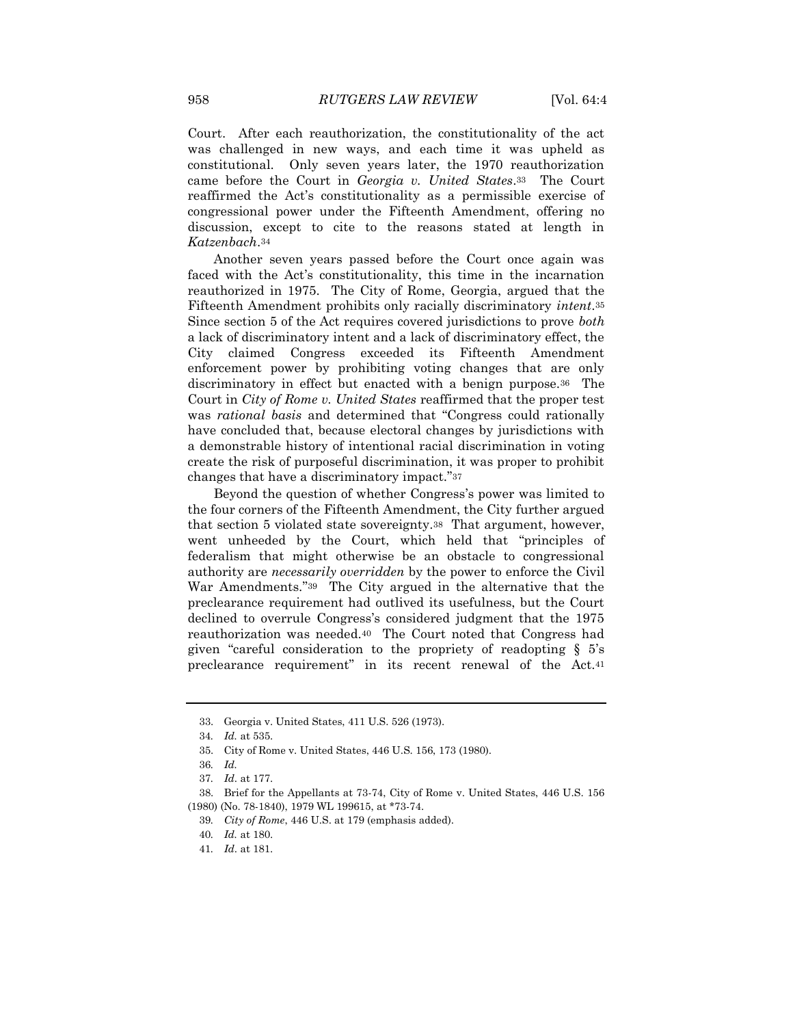Court. After each reauthorization, the constitutionality of the act was challenged in new ways, and each time it was upheld as constitutional. Only seven years later, the 1970 reauthorization came before the Court in *Georgia v. United States*.33 The Court reaffirmed the Act's constitutionality as a permissible exercise of congressional power under the Fifteenth Amendment, offering no discussion, except to cite to the reasons stated at length in *Katzenbach*.<sup>34</sup>

Another seven years passed before the Court once again was faced with the Act's constitutionality, this time in the incarnation reauthorized in 1975. The City of Rome, Georgia, argued that the Fifteenth Amendment prohibits only racially discriminatory *intent*.<sup>35</sup> Since section 5 of the Act requires covered jurisdictions to prove *both* a lack of discriminatory intent and a lack of discriminatory effect, the City claimed Congress exceeded its Fifteenth Amendment enforcement power by prohibiting voting changes that are only discriminatory in effect but enacted with a benign purpose.36 The Court in *City of Rome v. United States* reaffirmed that the proper test was *rational basis* and determined that "Congress could rationally have concluded that, because electoral changes by jurisdictions with a demonstrable history of intentional racial discrimination in voting create the risk of purposeful discrimination, it was proper to prohibit changes that have a discriminatory impact."<sup>37</sup>

Beyond the question of whether Congress's power was limited to the four corners of the Fifteenth Amendment, the City further argued that section 5 violated state sovereignty.38 That argument, however, went unheeded by the Court, which held that "principles of federalism that might otherwise be an obstacle to congressional authority are *necessarily overridden* by the power to enforce the Civil War Amendments."<sup>39</sup> The City argued in the alternative that the preclearance requirement had outlived its usefulness, but the Court declined to overrule Congress's considered judgment that the 1975 reauthorization was needed.40 The Court noted that Congress had given "careful consideration to the propriety of readopting § 5's preclearance requirement" in its recent renewal of the Act.<sup>41</sup>

<sup>33.</sup> Georgia v. United States, 411 U.S. 526 (1973).

<sup>34</sup>*. Id.* at 535.

<sup>35.</sup> City of Rome v. United States, 446 U.S. 156, 173 (1980).

<sup>36</sup>*. Id.*

<sup>37</sup>*. Id*. at 177.

<sup>38.</sup> Brief for the Appellants at 73-74, City of Rome v. United States, 446 U.S. 156 (1980) (No. 78-1840), 1979 WL 199615, at \*73-74.

<sup>39</sup>*. City of Rome*, 446 U.S. at 179 (emphasis added).

<sup>40</sup>*. Id.* at 180.

<sup>41</sup>*. Id*. at 181.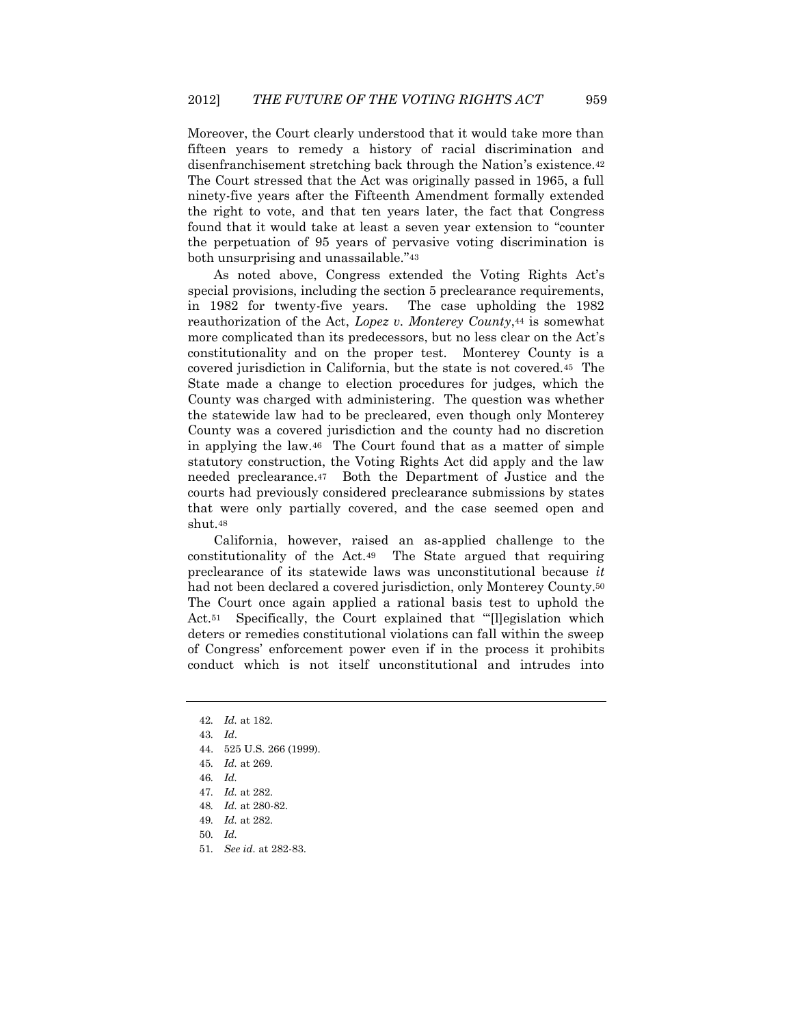Moreover, the Court clearly understood that it would take more than fifteen years to remedy a history of racial discrimination and disenfranchisement stretching back through the Nation's existence.<sup>42</sup> The Court stressed that the Act was originally passed in 1965, a full ninety-five years after the Fifteenth Amendment formally extended the right to vote, and that ten years later, the fact that Congress found that it would take at least a seven year extension to "counter the perpetuation of 95 years of pervasive voting discrimination is both unsurprising and unassailable."<sup>43</sup>

As noted above, Congress extended the Voting Rights Act's special provisions, including the section 5 preclearance requirements, in 1982 for twenty-five years. The case upholding the 1982 reauthorization of the Act, *Lopez v. Monterey County*,<sup>44</sup> is somewhat more complicated than its predecessors, but no less clear on the Act's constitutionality and on the proper test. Monterey County is a covered jurisdiction in California, but the state is not covered.45 The State made a change to election procedures for judges, which the County was charged with administering. The question was whether the statewide law had to be precleared, even though only Monterey County was a covered jurisdiction and the county had no discretion in applying the law.46 The Court found that as a matter of simple statutory construction, the Voting Rights Act did apply and the law needed preclearance.47 Both the Department of Justice and the courts had previously considered preclearance submissions by states that were only partially covered, and the case seemed open and shut.<sup>48</sup>

California, however, raised an as-applied challenge to the constitutionality of the Act.49 The State argued that requiring preclearance of its statewide laws was unconstitutional because *it* had not been declared a covered jurisdiction, only Monterey County.<sup>50</sup> The Court once again applied a rational basis test to uphold the Act.<sup>51</sup> Specifically, the Court explained that "[l]egislation which deters or remedies constitutional violations can fall within the sweep of Congress' enforcement power even if in the process it prohibits conduct which is not itself unconstitutional and intrudes into

<sup>42</sup>*. Id.* at 182.

<sup>43</sup>*. Id*.

<sup>44.</sup> 525 U.S. 266 (1999).

<sup>45</sup>*. Id.* at 269.

<sup>46</sup>*. Id.*

<sup>47</sup>*. Id.* at 282.

<sup>48</sup>*. Id.* at 280-82.

<sup>49</sup>*. Id.* at 282.

<sup>50</sup>*. Id.*

<sup>51</sup>*. See id.* at 282-83.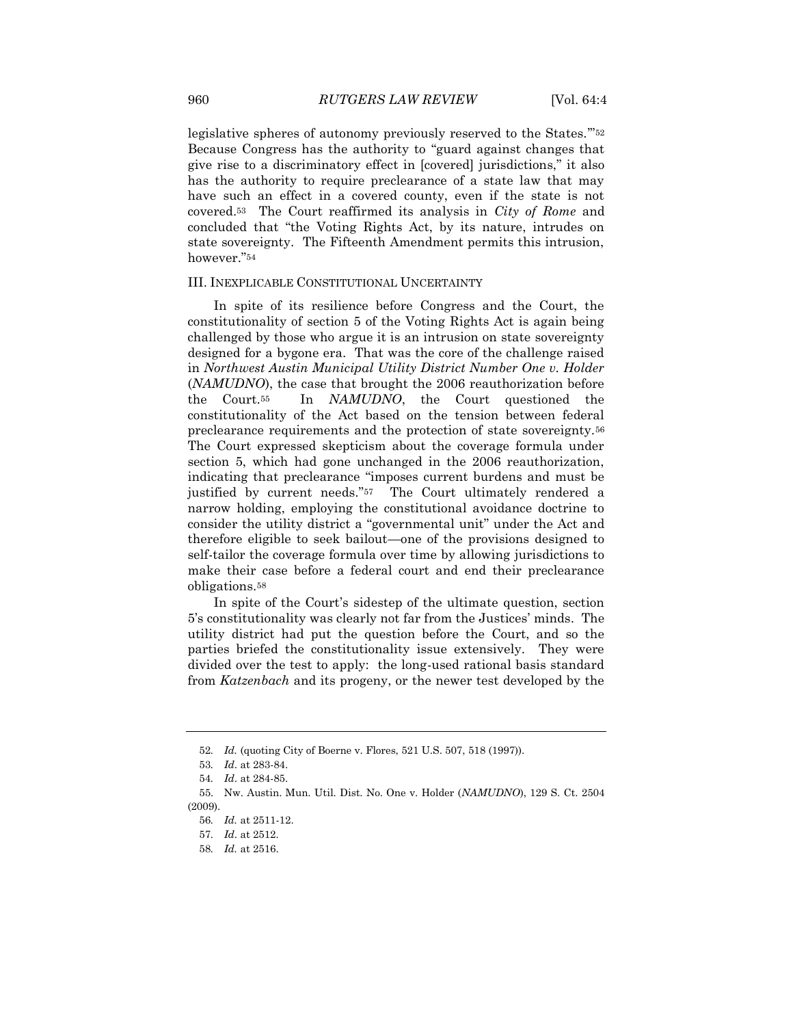legislative spheres of autonomy previously reserved to the States.'"<sup>52</sup> Because Congress has the authority to "guard against changes that give rise to a discriminatory effect in [covered] jurisdictions," it also has the authority to require preclearance of a state law that may have such an effect in a covered county, even if the state is not covered.53 The Court reaffirmed its analysis in *City of Rome* and concluded that "the Voting Rights Act, by its nature, intrudes on state sovereignty. The Fifteenth Amendment permits this intrusion, however."<sup>54</sup>

## III. INEXPLICABLE CONSTITUTIONAL UNCERTAINTY

In spite of its resilience before Congress and the Court, the constitutionality of section 5 of the Voting Rights Act is again being challenged by those who argue it is an intrusion on state sovereignty designed for a bygone era. That was the core of the challenge raised in *Northwest Austin Municipal Utility District Number One v. Holder*  (*NAMUDNO*), the case that brought the 2006 reauthorization before the Court.55 In *NAMUDNO*, the Court questioned the constitutionality of the Act based on the tension between federal preclearance requirements and the protection of state sovereignty.<sup>56</sup> The Court expressed skepticism about the coverage formula under section 5, which had gone unchanged in the 2006 reauthorization, indicating that preclearance "imposes current burdens and must be justified by current needs."57 The Court ultimately rendered a narrow holding, employing the constitutional avoidance doctrine to consider the utility district a "governmental unit" under the Act and therefore eligible to seek bailout—one of the provisions designed to self-tailor the coverage formula over time by allowing jurisdictions to make their case before a federal court and end their preclearance obligations.<sup>58</sup>

In spite of the Court's sidestep of the ultimate question, section 5's constitutionality was clearly not far from the Justices' minds. The utility district had put the question before the Court, and so the parties briefed the constitutionality issue extensively. They were divided over the test to apply: the long-used rational basis standard from *Katzenbach* and its progeny, or the newer test developed by the

<sup>52</sup>*. Id.* (quoting City of Boerne v. Flores, 521 U.S. 507, 518 (1997)).

<sup>53</sup>*. Id*. at 283-84.

<sup>54</sup>*. Id*. at 284-85.

<sup>55.</sup> Nw. Austin. Mun. Util. Dist. No. One v. Holder (*NAMUDNO*), 129 S. Ct. 2504 (2009).

<sup>56</sup>*. Id.* at 2511-12.

<sup>57</sup>*. Id*. at 2512.

<sup>58</sup>*. Id.* at 2516.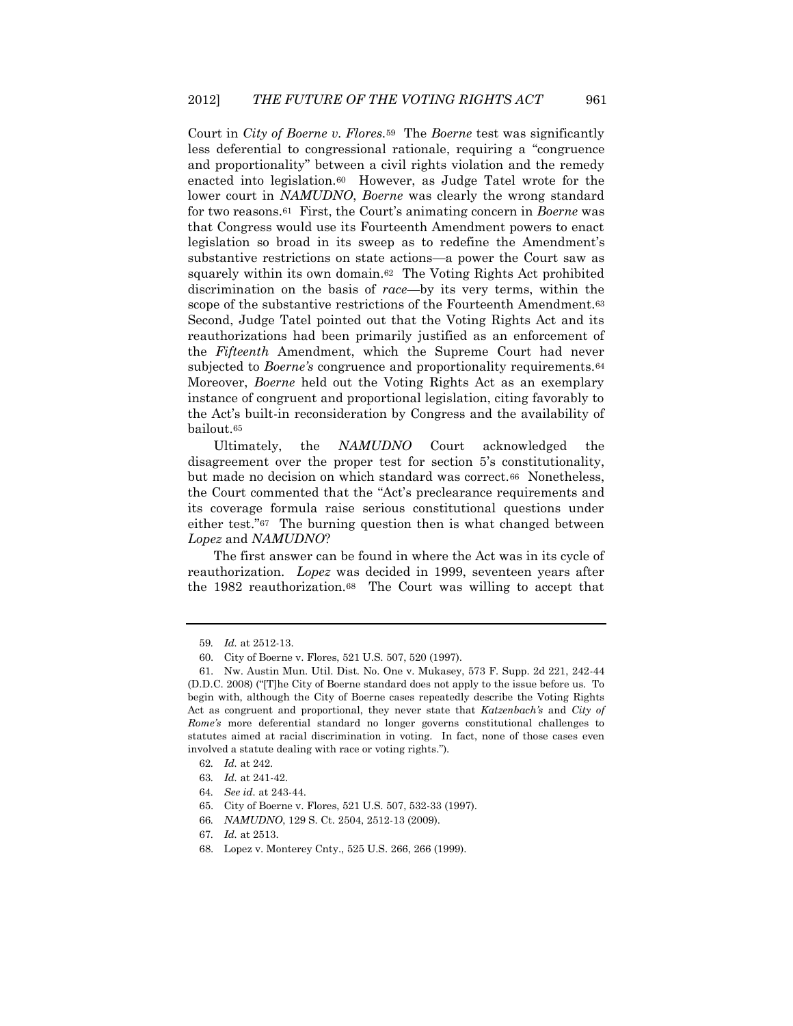Court in *City of Boerne v. Flores.*<sup>59</sup>The *Boerne* test was significantly less deferential to congressional rationale, requiring a "congruence and proportionality" between a civil rights violation and the remedy enacted into legislation.<sup>60</sup> However, as Judge Tatel wrote for the lower court in *NAMUDNO*, *Boerne* was clearly the wrong standard for two reasons.61 First, the Court's animating concern in *Boerne* was that Congress would use its Fourteenth Amendment powers to enact legislation so broad in its sweep as to redefine the Amendment's substantive restrictions on state actions—a power the Court saw as squarely within its own domain.62 The Voting Rights Act prohibited discrimination on the basis of *race*—by its very terms, within the scope of the substantive restrictions of the Fourteenth Amendment.<sup>63</sup> Second, Judge Tatel pointed out that the Voting Rights Act and its reauthorizations had been primarily justified as an enforcement of the *Fifteenth* Amendment, which the Supreme Court had never subjected to *Boerne's* congruence and proportionality requirements.<sup>64</sup> Moreover, *Boerne* held out the Voting Rights Act as an exemplary instance of congruent and proportional legislation, citing favorably to the Act's built-in reconsideration by Congress and the availability of bailout.<sup>65</sup>

Ultimately, the *NAMUDNO* Court acknowledged the disagreement over the proper test for section 5's constitutionality, but made no decision on which standard was correct.66 Nonetheless, the Court commented that the "Act's preclearance requirements and its coverage formula raise serious constitutional questions under either test."67 The burning question then is what changed between *Lopez* and *NAMUDNO*?

The first answer can be found in where the Act was in its cycle of reauthorization. *Lopez* was decided in 1999, seventeen years after the 1982 reauthorization.68 The Court was willing to accept that

<sup>59</sup>*. Id.* at 2512-13.

<sup>60.</sup> City of Boerne v. Flores, 521 U.S. 507, 520 (1997).

<sup>61.</sup> Nw. Austin Mun. Util. Dist. No. One v. Mukasey, 573 F. Supp. 2d 221, 242-44 (D.D.C. 2008) ("[T]he City of Boerne standard does not apply to the issue before us. To begin with, although the City of Boerne cases repeatedly describe the Voting Rights Act as congruent and proportional, they never state that *Katzenbach's* and *City of Rome's* more deferential standard no longer governs constitutional challenges to statutes aimed at racial discrimination in voting. In fact, none of those cases even involved a statute dealing with race or voting rights.").

<sup>62</sup>*. Id.* at 242.

<sup>63</sup>*. Id.* at 241-42.

<sup>64</sup>*. See id.* at 243-44.

<sup>65.</sup> City of Boerne v. Flores, 521 U.S. 507, 532-33 (1997).

<sup>66</sup>*. NAMUDNO*, 129 S. Ct. 2504, 2512-13 (2009).

<sup>67</sup>*. Id.* at 2513.

<sup>68.</sup> Lopez v. Monterey Cnty., 525 U.S. 266, 266 (1999).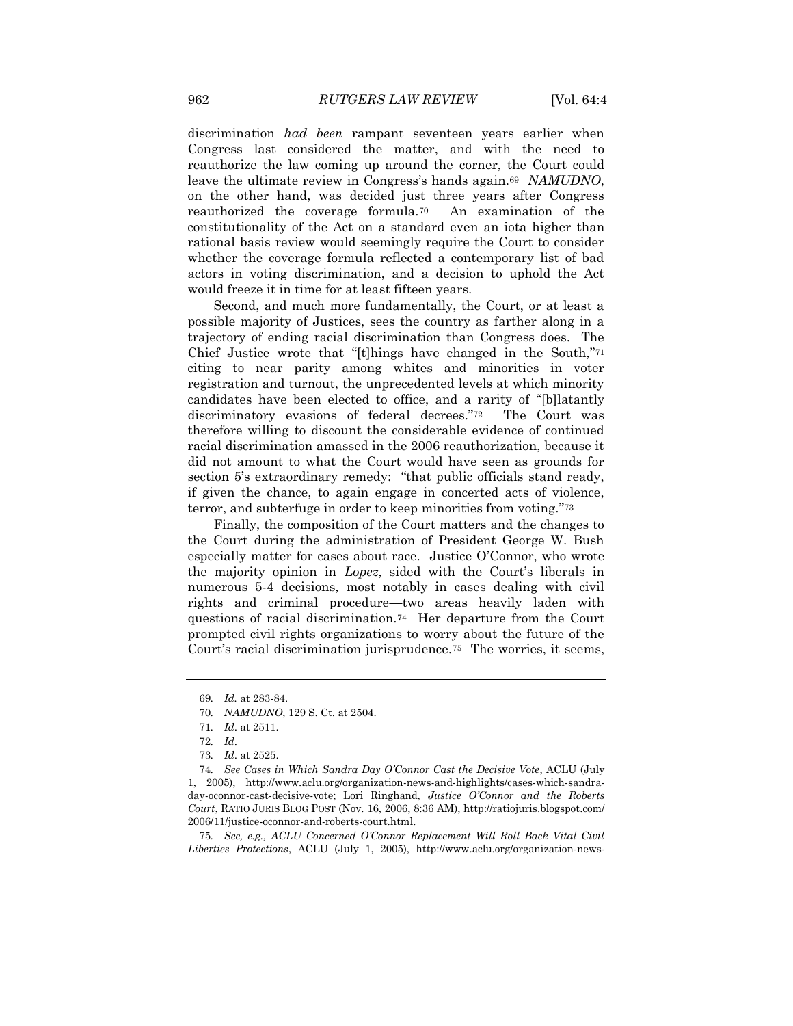discrimination *had been* rampant seventeen years earlier when Congress last considered the matter, and with the need to reauthorize the law coming up around the corner, the Court could leave the ultimate review in Congress's hands again.<sup>69</sup> *NAMUDNO*, on the other hand, was decided just three years after Congress reauthorized the coverage formula.70 An examination of the constitutionality of the Act on a standard even an iota higher than rational basis review would seemingly require the Court to consider whether the coverage formula reflected a contemporary list of bad actors in voting discrimination, and a decision to uphold the Act would freeze it in time for at least fifteen years.

Second, and much more fundamentally, the Court, or at least a possible majority of Justices, sees the country as farther along in a trajectory of ending racial discrimination than Congress does. The Chief Justice wrote that "[t]hings have changed in the South,"<sup>71</sup> citing to near parity among whites and minorities in voter registration and turnout, the unprecedented levels at which minority candidates have been elected to office, and a rarity of "[b]latantly discriminatory evasions of federal decrees."72 The Court was therefore willing to discount the considerable evidence of continued racial discrimination amassed in the 2006 reauthorization, because it did not amount to what the Court would have seen as grounds for section 5's extraordinary remedy: "that public officials stand ready, if given the chance, to again engage in concerted acts of violence, terror, and subterfuge in order to keep minorities from voting."<sup>73</sup>

Finally, the composition of the Court matters and the changes to the Court during the administration of President George W. Bush especially matter for cases about race. Justice O'Connor, who wrote the majority opinion in *Lopez*, sided with the Court's liberals in numerous 5-4 decisions, most notably in cases dealing with civil rights and criminal procedure—two areas heavily laden with questions of racial discrimination.74 Her departure from the Court prompted civil rights organizations to worry about the future of the Court's racial discrimination jurisprudence.75 The worries, it seems,

75*. See, e.g., ACLU Concerned O'Connor Replacement Will Roll Back Vital Civil Liberties Protections*, ACLU (July 1, 2005), http://www.aclu.org/organization-news-

<sup>69</sup>*. Id.* at 283-84.

<sup>70</sup>*. NAMUDNO*, 129 S. Ct. at 2504.

<sup>71</sup>*. Id*. at 2511.

<sup>72</sup>*. Id*.

<sup>73</sup>*. Id*. at 2525.

<sup>74</sup>*. See Cases in Which Sandra Day O'Connor Cast the Decisive Vote*, ACLU (July 1, 2005), http://www.aclu.org/organization-news-and-highlights/cases-which-sandraday-oconnor-cast-decisive-vote; Lori Ringhand, *Justice O'Connor and the Roberts Court*, RATIO JURIS BLOG POST (Nov. 16, 2006, 8:36 AM), http://ratiojuris.blogspot.com/ 2006/11/justice-oconnor-and-roberts-court.html.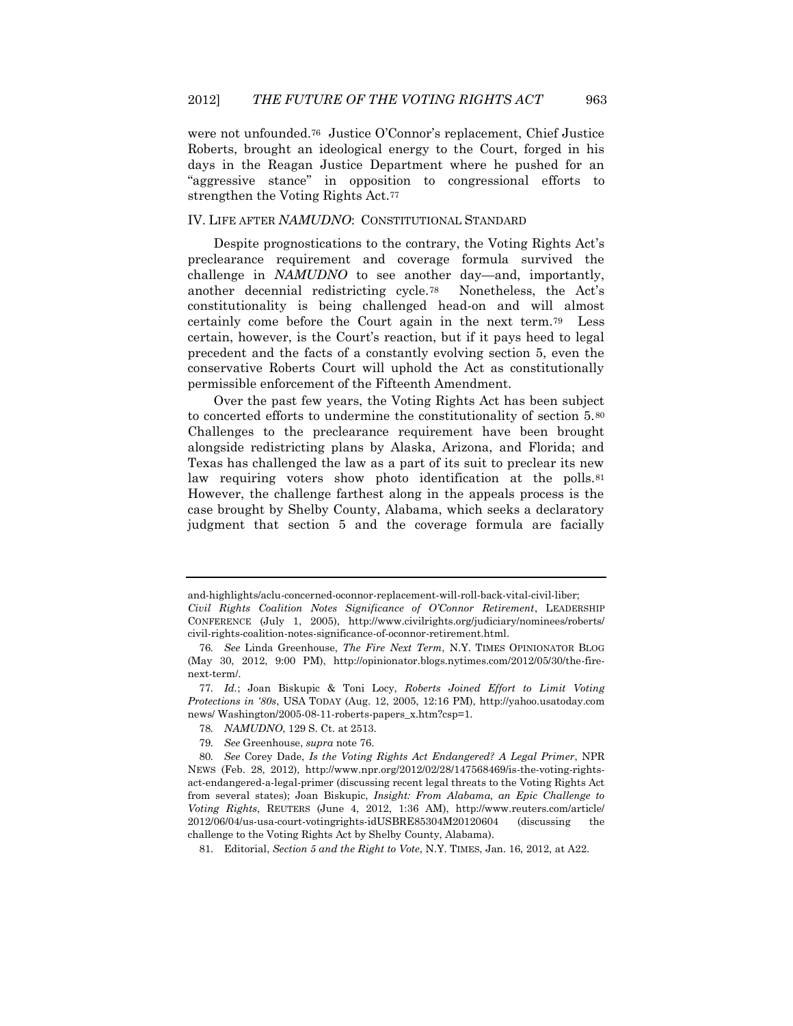were not unfounded.76 Justice O'Connor's replacement, Chief Justice Roberts, brought an ideological energy to the Court, forged in his days in the Reagan Justice Department where he pushed for an "aggressive stance" in opposition to congressional efforts to strengthen the Voting Rights Act.<sup>77</sup>

## IV. LIFE AFTER *NAMUDNO*: CONSTITUTIONAL STANDARD

Despite prognostications to the contrary, the Voting Rights Act's preclearance requirement and coverage formula survived the challenge in *NAMUDNO* to see another day—and, importantly, another decennial redistricting cycle.78 Nonetheless, the Act's constitutionality is being challenged head-on and will almost certainly come before the Court again in the next term.79 Less certain, however, is the Court's reaction, but if it pays heed to legal precedent and the facts of a constantly evolving section 5, even the conservative Roberts Court will uphold the Act as constitutionally permissible enforcement of the Fifteenth Amendment.

Over the past few years, the Voting Rights Act has been subject to concerted efforts to undermine the constitutionality of section 5.<sup>80</sup> Challenges to the preclearance requirement have been brought alongside redistricting plans by Alaska, Arizona, and Florida; and Texas has challenged the law as a part of its suit to preclear its new law requiring voters show photo identification at the polls.<sup>81</sup> However, the challenge farthest along in the appeals process is the case brought by Shelby County, Alabama, which seeks a declaratory judgment that section 5 and the coverage formula are facially

- 78*. NAMUDNO*, 129 S. Ct. at 2513.
- 79*. See* Greenhouse, *supra* note 76.

and-highlights/aclu-concerned-oconnor-replacement-will-roll-back-vital-civil-liber; *Civil Rights Coalition Notes Significance of O'Connor Retirement*, LEADERSHIP CONFERENCE (July 1, 2005), http://www.civilrights.org/judiciary/nominees/roberts/ civil-rights-coalition-notes-significance-of-oconnor-retirement.html.

<sup>76</sup>*. See* Linda Greenhouse, *The Fire Next Term*, N.Y. TIMES OPINIONATOR BLOG (May 30, 2012, 9:00 PM), http://opinionator.blogs.nytimes.com/2012/05/30/the-firenext-term/.

<sup>77</sup>*. Id.*; Joan Biskupic & Toni Locy, *Roberts Joined Effort to Limit Voting Protections in '80s*, USA TODAY (Aug. 12, 2005, 12:16 PM), http://yahoo.usatoday.com news/ Washington/2005-08-11-roberts-papers\_x.htm?csp=1.

<sup>80</sup>*. See* Corey Dade, *Is the Voting Rights Act Endangered? A Legal Primer*, NPR NEWS (Feb. 28, 2012), http://www.npr.org/2012/02/28/147568469/is-the-voting-rightsact-endangered-a-legal-primer (discussing recent legal threats to the Voting Rights Act from several states); Joan Biskupic, *Insight: From Alabama, an Epic Challenge to Voting Rights*, REUTERS (June 4, 2012, 1:36 AM), http://www.reuters.com/article/ 2012/06/04/us-usa-court-votingrights-idUSBRE85304M20120604 (discussing the challenge to the Voting Rights Act by Shelby County, Alabama).

<sup>81.</sup> Editorial, *Section 5 and the Right to Vote*, N.Y. TIMES, Jan. 16, 2012, at A22.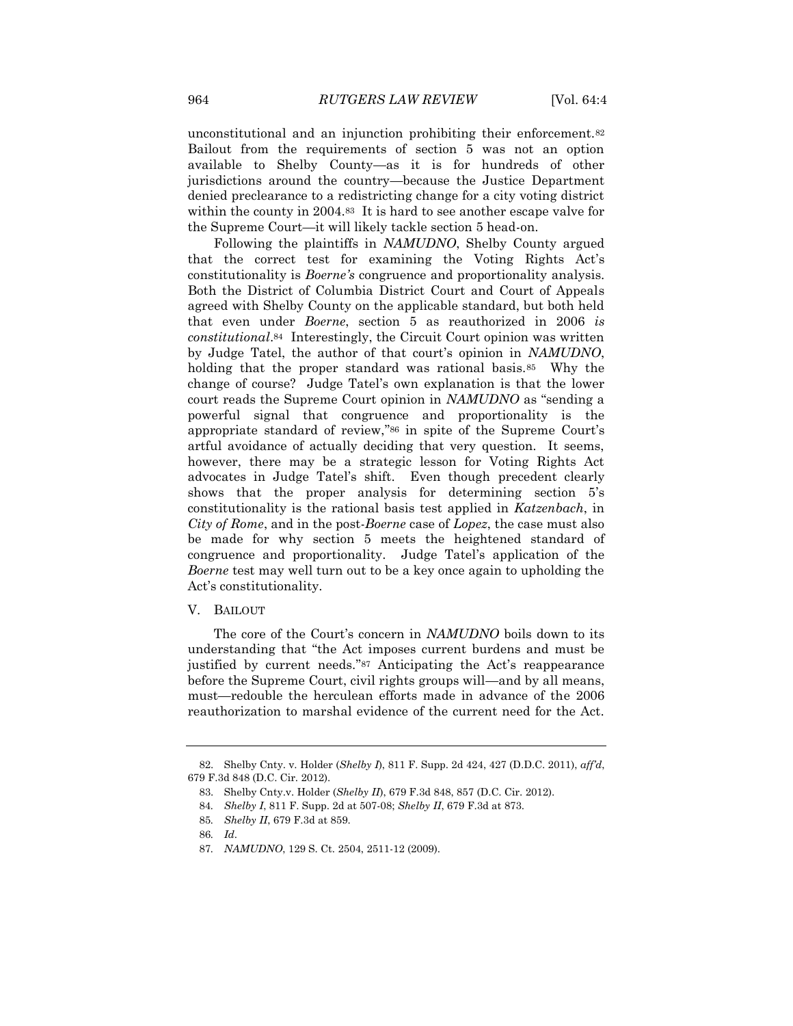unconstitutional and an injunction prohibiting their enforcement.<sup>82</sup> Bailout from the requirements of section 5 was not an option available to Shelby County—as it is for hundreds of other jurisdictions around the country—because the Justice Department denied preclearance to a redistricting change for a city voting district within the county in 2004.83 It is hard to see another escape valve for the Supreme Court—it will likely tackle section 5 head-on.

Following the plaintiffs in *NAMUDNO*, Shelby County argued that the correct test for examining the Voting Rights Act's constitutionality is *Boerne's* congruence and proportionality analysis. Both the District of Columbia District Court and Court of Appeals agreed with Shelby County on the applicable standard, but both held that even under *Boerne*, section 5 as reauthorized in 2006 *is constitutional*.84 Interestingly, the Circuit Court opinion was written by Judge Tatel, the author of that court's opinion in *NAMUDNO*, holding that the proper standard was rational basis.<sup>85</sup> Why the change of course? Judge Tatel's own explanation is that the lower court reads the Supreme Court opinion in *NAMUDNO* as "sending a powerful signal that congruence and proportionality is the appropriate standard of review,"<sup>86</sup> in spite of the Supreme Court's artful avoidance of actually deciding that very question. It seems, however, there may be a strategic lesson for Voting Rights Act advocates in Judge Tatel's shift. Even though precedent clearly shows that the proper analysis for determining section 5's constitutionality is the rational basis test applied in *Katzenbach*, in *City of Rome*, and in the post-*Boerne* case of *Lopez*, the case must also be made for why section 5 meets the heightened standard of congruence and proportionality. Judge Tatel's application of the *Boerne* test may well turn out to be a key once again to upholding the Act's constitutionality.

#### V. BAILOUT

The core of the Court's concern in *NAMUDNO* boils down to its understanding that "the Act imposes current burdens and must be justified by current needs."<sup>87</sup> Anticipating the Act's reappearance before the Supreme Court, civil rights groups will—and by all means, must—redouble the herculean efforts made in advance of the 2006 reauthorization to marshal evidence of the current need for the Act.

<sup>82.</sup> Shelby Cnty. v. Holder (*Shelby I*), 811 F. Supp. 2d 424, 427 (D.D.C. 2011), *aff'd*, 679 F.3d 848 (D.C. Cir. 2012).

<sup>83.</sup> Shelby Cnty.v. Holder (*Shelby II*), 679 F.3d 848, 857 (D.C. Cir. 2012).

<sup>84</sup>*. Shelby I*, 811 F. Supp. 2d at 507-08; *Shelby II*, 679 F.3d at 873.

<sup>85</sup>*. Shelby II*, 679 F.3d at 859.

<sup>86</sup>*. Id*.

<sup>87</sup>*. NAMUDNO*, 129 S. Ct. 2504, 2511-12 (2009).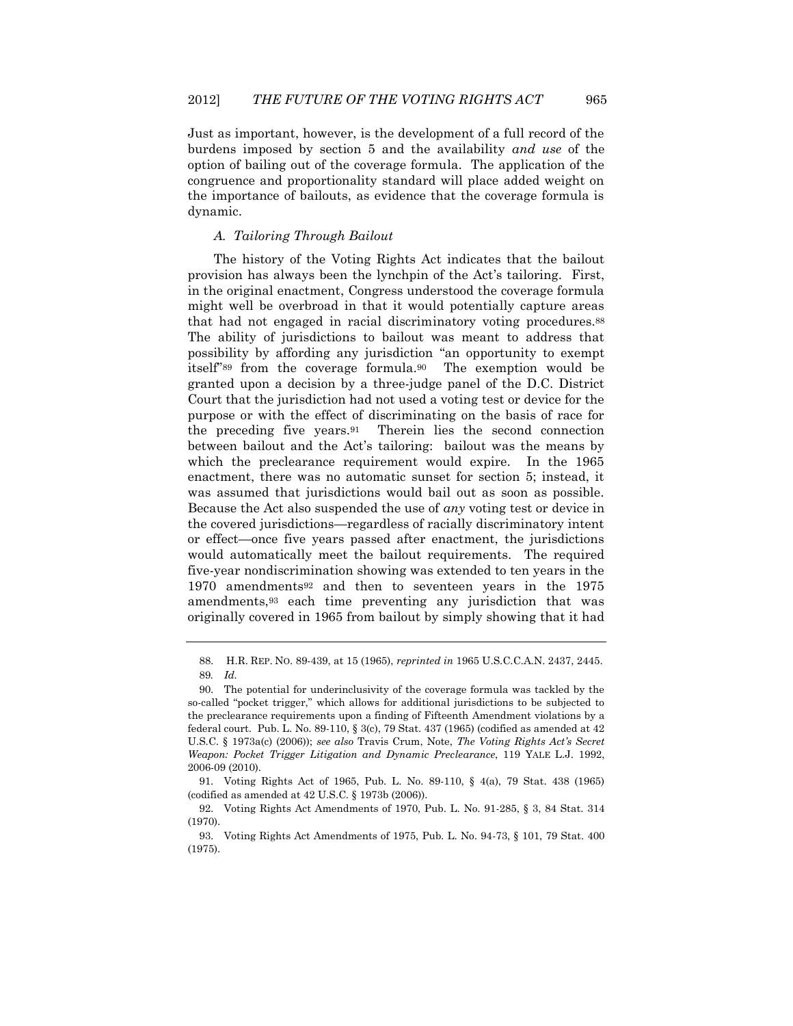Just as important, however, is the development of a full record of the burdens imposed by section 5 and the availability *and use* of the option of bailing out of the coverage formula. The application of the congruence and proportionality standard will place added weight on the importance of bailouts, as evidence that the coverage formula is dynamic.

#### *A. Tailoring Through Bailout*

The history of the Voting Rights Act indicates that the bailout provision has always been the lynchpin of the Act's tailoring. First, in the original enactment, Congress understood the coverage formula might well be overbroad in that it would potentially capture areas that had not engaged in racial discriminatory voting procedures.<sup>88</sup> The ability of jurisdictions to bailout was meant to address that possibility by affording any jurisdiction "an opportunity to exempt itself"<sup>89</sup> from the coverage formula.90 The exemption would be granted upon a decision by a three-judge panel of the D.C. District Court that the jurisdiction had not used a voting test or device for the purpose or with the effect of discriminating on the basis of race for the preceding five years.91 Therein lies the second connection between bailout and the Act's tailoring: bailout was the means by which the preclearance requirement would expire. In the 1965 enactment, there was no automatic sunset for section 5; instead, it was assumed that jurisdictions would bail out as soon as possible. Because the Act also suspended the use of *any* voting test or device in the covered jurisdictions—regardless of racially discriminatory intent or effect—once five years passed after enactment, the jurisdictions would automatically meet the bailout requirements. The required five-year nondiscrimination showing was extended to ten years in the 1970 amendments<sup>92</sup> and then to seventeen years in the 1975 amendments,<sup>93</sup> each time preventing any jurisdiction that was originally covered in 1965 from bailout by simply showing that it had

<sup>88.</sup> H.R. REP. NO. 89-439, at 15 (1965), *reprinted in* 1965 U.S.C.C.A.N. 2437, 2445. 89*. Id.*

<sup>90.</sup> The potential for underinclusivity of the coverage formula was tackled by the so-called "pocket trigger," which allows for additional jurisdictions to be subjected to the preclearance requirements upon a finding of Fifteenth Amendment violations by a federal court. Pub. L. No. 89-110, § 3(c), 79 Stat. 437 (1965) (codified as amended at 42 U.S.C. § 1973a(c) (2006)); *see also* Travis Crum, Note, *The Voting Rights Act's Secret Weapon: Pocket Trigger Litigation and Dynamic Preclearance*, 119 YALE L.J. 1992, 2006-09 (2010).

<sup>91.</sup> Voting Rights Act of 1965, Pub. L. No. 89-110, § 4(a), 79 Stat. 438 (1965) (codified as amended at 42 U.S.C. § 1973b (2006)).

<sup>92.</sup> Voting Rights Act Amendments of 1970, Pub. L. No. 91-285, § 3, 84 Stat. 314 (1970).

<sup>93.</sup> Voting Rights Act Amendments of 1975, Pub. L. No. 94-73, § 101, 79 Stat. 400 (1975).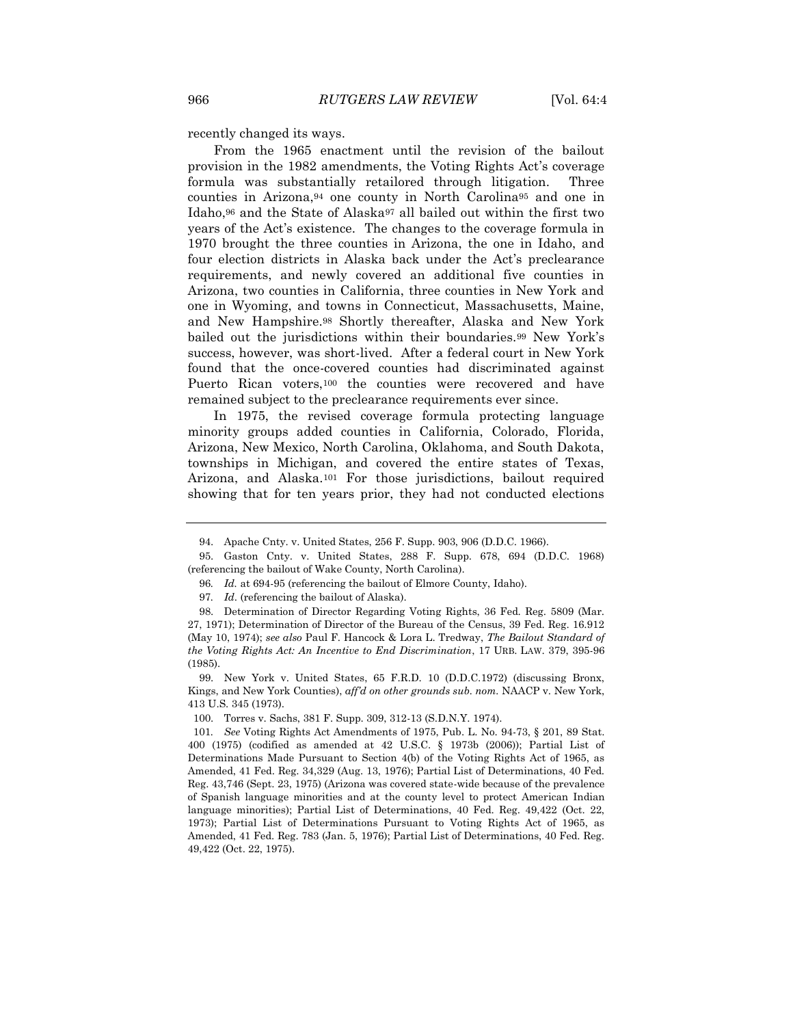recently changed its ways.

From the 1965 enactment until the revision of the bailout provision in the 1982 amendments, the Voting Rights Act's coverage formula was substantially retailored through litigation. Three counties in Arizona,<sup>94</sup> one county in North Carolina<sup>95</sup> and one in Idaho,<sup>96</sup> and the State of Alaska<sup>97</sup> all bailed out within the first two years of the Act's existence. The changes to the coverage formula in 1970 brought the three counties in Arizona, the one in Idaho, and four election districts in Alaska back under the Act's preclearance requirements, and newly covered an additional five counties in Arizona, two counties in California, three counties in New York and one in Wyoming, and towns in Connecticut, Massachusetts, Maine, and New Hampshire.<sup>98</sup> Shortly thereafter, Alaska and New York bailed out the jurisdictions within their boundaries.<sup>99</sup> New York's success, however, was short-lived. After a federal court in New York found that the once-covered counties had discriminated against Puerto Rican voters,<sup>100</sup> the counties were recovered and have remained subject to the preclearance requirements ever since.

In 1975, the revised coverage formula protecting language minority groups added counties in California, Colorado, Florida, Arizona, New Mexico, North Carolina, Oklahoma, and South Dakota, townships in Michigan, and covered the entire states of Texas, Arizona, and Alaska.<sup>101</sup> For those jurisdictions, bailout required showing that for ten years prior, they had not conducted elections

<sup>94.</sup> Apache Cnty. v. United States, 256 F. Supp. 903, 906 (D.D.C. 1966).

<sup>95.</sup> Gaston Cnty. v. United States, 288 F. Supp. 678, 694 (D.D.C. 1968) (referencing the bailout of Wake County, North Carolina).

<sup>96</sup>*. Id.* at 694-95 (referencing the bailout of Elmore County, Idaho).

<sup>97</sup>*. Id*. (referencing the bailout of Alaska).

<sup>98.</sup> Determination of Director Regarding Voting Rights, 36 Fed. Reg. 5809 (Mar. 27, 1971); Determination of Director of the Bureau of the Census, 39 Fed. Reg. 16.912 (May 10, 1974); *see also* Paul F. Hancock & Lora L. Tredway, *The Bailout Standard of the Voting Rights Act: An Incentive to End Discrimination*, 17 URB. LAW. 379, 395-96 (1985).

<sup>99.</sup> New York v. United States, 65 F.R.D. 10 (D.D.C.1972) (discussing Bronx, Kings, and New York Counties), *aff'd on other grounds sub. nom.* NAACP v. New York, 413 U.S. 345 (1973).

<sup>100.</sup> Torres v. Sachs, 381 F. Supp. 309, 312-13 (S.D.N.Y. 1974).

<sup>101</sup>*. See* Voting Rights Act Amendments of 1975, Pub. L. No. 94-73, § 201, 89 Stat. 400 (1975) (codified as amended at 42 U.S.C. § 1973b (2006)); Partial List of Determinations Made Pursuant to Section 4(b) of the Voting Rights Act of 1965, as Amended, 41 Fed. Reg. 34,329 (Aug. 13, 1976); Partial List of Determinations, 40 Fed. Reg. 43,746 (Sept. 23, 1975) (Arizona was covered state-wide because of the prevalence of Spanish language minorities and at the county level to protect American Indian language minorities); Partial List of Determinations, 40 Fed. Reg. 49,422 (Oct. 22, 1973); Partial List of Determinations Pursuant to Voting Rights Act of 1965, as Amended, 41 Fed. Reg. 783 (Jan. 5, 1976); Partial List of Determinations, 40 Fed. Reg. 49,422 (Oct. 22, 1975).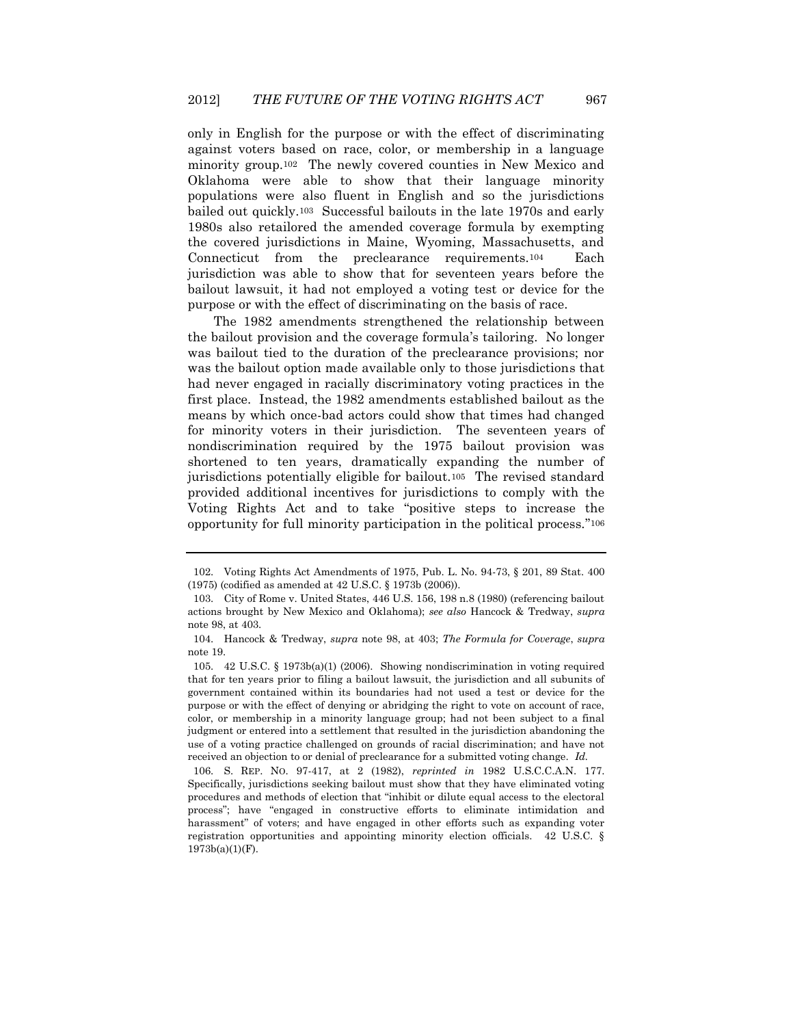only in English for the purpose or with the effect of discriminating against voters based on race, color, or membership in a language minority group.102 The newly covered counties in New Mexico and Oklahoma were able to show that their language minority populations were also fluent in English and so the jurisdictions bailed out quickly.103 Successful bailouts in the late 1970s and early 1980s also retailored the amended coverage formula by exempting the covered jurisdictions in Maine, Wyoming, Massachusetts, and Connecticut from the preclearance requirements.104 Each jurisdiction was able to show that for seventeen years before the bailout lawsuit, it had not employed a voting test or device for the purpose or with the effect of discriminating on the basis of race.

The 1982 amendments strengthened the relationship between the bailout provision and the coverage formula's tailoring. No longer was bailout tied to the duration of the preclearance provisions; nor was the bailout option made available only to those jurisdictions that had never engaged in racially discriminatory voting practices in the first place. Instead, the 1982 amendments established bailout as the means by which once-bad actors could show that times had changed for minority voters in their jurisdiction. The seventeen years of nondiscrimination required by the 1975 bailout provision was shortened to ten years, dramatically expanding the number of jurisdictions potentially eligible for bailout.105 The revised standard provided additional incentives for jurisdictions to comply with the Voting Rights Act and to take "positive steps to increase the opportunity for full minority participation in the political process."<sup>106</sup>

<sup>102.</sup> Voting Rights Act Amendments of 1975, Pub. L. No. 94-73, § 201, 89 Stat. 400 (1975) (codified as amended at 42 U.S.C. § 1973b (2006)).

<sup>103.</sup> City of Rome v. United States, 446 U.S. 156, 198 n.8 (1980) (referencing bailout actions brought by New Mexico and Oklahoma); *see also* Hancock & Tredway, *supra* note 98, at 403.

<sup>104.</sup> Hancock & Tredway, *supra* note 98, at 403; *The Formula for Coverage*, *supra* note 19.

<sup>105.</sup> 42 U.S.C. § 1973b(a)(1) (2006). Showing nondiscrimination in voting required that for ten years prior to filing a bailout lawsuit, the jurisdiction and all subunits of government contained within its boundaries had not used a test or device for the purpose or with the effect of denying or abridging the right to vote on account of race, color, or membership in a minority language group; had not been subject to a final judgment or entered into a settlement that resulted in the jurisdiction abandoning the use of a voting practice challenged on grounds of racial discrimination; and have not received an objection to or denial of preclearance for a submitted voting change. *Id.*

<sup>106.</sup> S. REP. NO. 97-417, at 2 (1982), *reprinted in* 1982 U.S.C.C.A.N. 177. Specifically, jurisdictions seeking bailout must show that they have eliminated voting procedures and methods of election that "inhibit or dilute equal access to the electoral process"; have "engaged in constructive efforts to eliminate intimidation and harassment" of voters; and have engaged in other efforts such as expanding voter registration opportunities and appointing minority election officials. 42 U.S.C. § 1973b(a)(1)(F).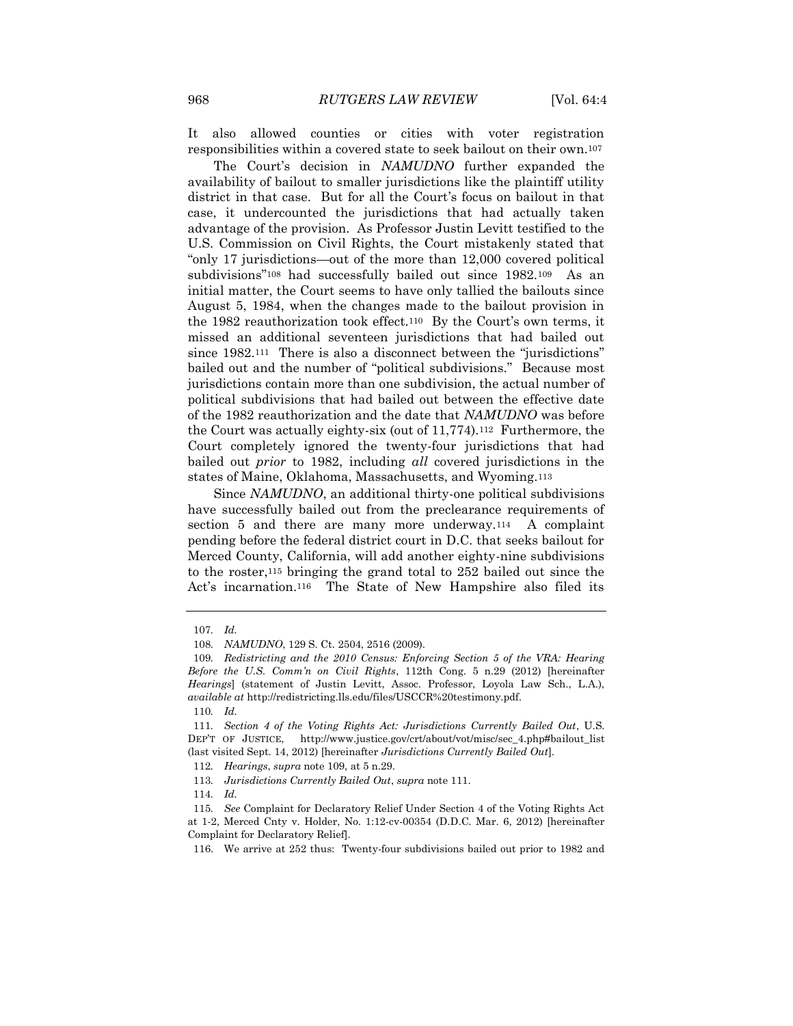It also allowed counties or cities with voter registration responsibilities within a covered state to seek bailout on their own.<sup>107</sup>

The Court's decision in *NAMUDNO* further expanded the availability of bailout to smaller jurisdictions like the plaintiff utility district in that case. But for all the Court's focus on bailout in that case, it undercounted the jurisdictions that had actually taken advantage of the provision. As Professor Justin Levitt testified to the U.S. Commission on Civil Rights, the Court mistakenly stated that "only 17 jurisdictions—out of the more than 12,000 covered political subdivisions"<sup>108</sup> had successfully bailed out since 1982.<sup>109</sup> As an initial matter, the Court seems to have only tallied the bailouts since August 5, 1984, when the changes made to the bailout provision in the 1982 reauthorization took effect.110 By the Court's own terms, it missed an additional seventeen jurisdictions that had bailed out since 1982.<sup>111</sup> There is also a disconnect between the "jurisdictions" bailed out and the number of "political subdivisions." Because most jurisdictions contain more than one subdivision, the actual number of political subdivisions that had bailed out between the effective date of the 1982 reauthorization and the date that *NAMUDNO* was before the Court was actually eighty-six (out of 11,774).112 Furthermore, the Court completely ignored the twenty-four jurisdictions that had bailed out *prior* to 1982, including *all* covered jurisdictions in the states of Maine, Oklahoma, Massachusetts, and Wyoming.<sup>113</sup>

Since *NAMUDNO*, an additional thirty-one political subdivisions have successfully bailed out from the preclearance requirements of section 5 and there are many more underway.<sup>114</sup> A complaint pending before the federal district court in D.C. that seeks bailout for Merced County, California, will add another eighty-nine subdivisions to the roster,<sup>115</sup> bringing the grand total to 252 bailed out since the Act's incarnation.116 The State of New Hampshire also filed its

<sup>107</sup>*. Id.*

<sup>108</sup>*. NAMUDNO*, 129 S. Ct. 2504, 2516 (2009).

<sup>109</sup>*. Redistricting and the 2010 Census: Enforcing Section 5 of the VRA: Hearing Before the U.S. Comm'n on Civil Rights*, 112th Cong. 5 n.29 (2012) [hereinafter *Hearings*] (statement of Justin Levitt, Assoc. Professor, Loyola Law Sch., L.A.), *available at* http://redistricting.lls.edu/files/USCCR%20testimony.pdf.

<sup>110</sup>*. Id.*

<sup>111</sup>*. Section 4 of the Voting Rights Act: Jurisdictions Currently Bailed Out*, U.S. DEP'T OF JUSTICE, http://www.justice.gov/crt/about/vot/misc/sec\_4.php#bailout\_list (last visited Sept. 14, 2012) [hereinafter *Jurisdictions Currently Bailed Out*].

<sup>112</sup>*. Hearings*, *supra* note 109, at 5 n.29.

<sup>113</sup>*. Jurisdictions Currently Bailed Out*, *supra* note 111.

<sup>114</sup>*. Id.*

<sup>115</sup>*. See* Complaint for Declaratory Relief Under Section 4 of the Voting Rights Act at 1-2, Merced Cnty v. Holder, No. 1:12-cv-00354 (D.D.C. Mar. 6, 2012) [hereinafter Complaint for Declaratory Relief].

<sup>116.</sup> We arrive at 252 thus: Twenty-four subdivisions bailed out prior to 1982 and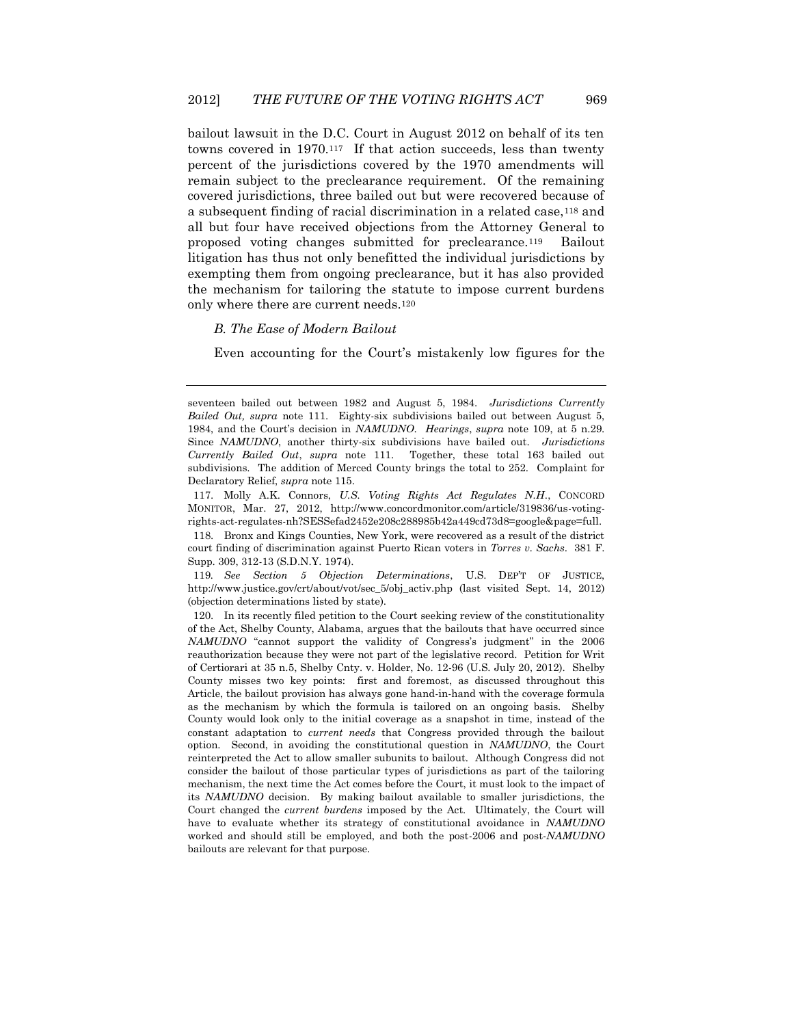bailout lawsuit in the D.C. Court in August 2012 on behalf of its ten towns covered in 1970.117 If that action succeeds, less than twenty percent of the jurisdictions covered by the 1970 amendments will remain subject to the preclearance requirement. Of the remaining covered jurisdictions, three bailed out but were recovered because of a subsequent finding of racial discrimination in a related case,<sup>118</sup> and all but four have received objections from the Attorney General to proposed voting changes submitted for preclearance.119 Bailout litigation has thus not only benefitted the individual jurisdictions by exempting them from ongoing preclearance, but it has also provided the mechanism for tailoring the statute to impose current burdens only where there are current needs.<sup>120</sup>

#### *B. The Ease of Modern Bailout*

Even accounting for the Court's mistakenly low figures for the

117. Molly A.K. Connors, *U.S. Voting Rights Act Regulates N.H*., CONCORD MONITOR, Mar. 27, 2012, http://www.concordmonitor.com/article/319836/us-votingrights-act-regulates-nh?SESSefad2452e208c288985b42a449cd73d8=google&page=full.

118. Bronx and Kings Counties, New York, were recovered as a result of the district court finding of discrimination against Puerto Rican voters in *Torres v. Sachs*. 381 F. Supp. 309, 312-13 (S.D.N.Y. 1974).

119*. See Section 5 Objection Determinations*, U.S. DEP'T OF JUSTICE, http://www.justice.gov/crt/about/vot/sec\_5/obj\_activ.php (last visited Sept. 14, 2012) (objection determinations listed by state).

seventeen bailed out between 1982 and August 5, 1984. *Jurisdictions Currently Bailed Out, supra* note 111. Eighty-six subdivisions bailed out between August 5, 1984, and the Court's decision in *NAMUDNO*. *Hearings*, *supra* note 109, at 5 n.29. Since *NAMUDNO*, another thirty-six subdivisions have bailed out. *Jurisdictions Currently Bailed Out*, *supra* note 111. Together, these total 163 bailed out subdivisions. The addition of Merced County brings the total to 252. Complaint for Declaratory Relief, *supra* note 115.

<sup>120.</sup> In its recently filed petition to the Court seeking review of the constitutionality of the Act, Shelby County, Alabama, argues that the bailouts that have occurred since *NAMUDNO* "cannot support the validity of Congress's judgment" in the 2006 reauthorization because they were not part of the legislative record. Petition for Writ of Certiorari at 35 n.5, Shelby Cnty. v. Holder, No. 12-96 (U.S. July 20, 2012). Shelby County misses two key points: first and foremost, as discussed throughout this Article, the bailout provision has always gone hand-in-hand with the coverage formula as the mechanism by which the formula is tailored on an ongoing basis. Shelby County would look only to the initial coverage as a snapshot in time, instead of the constant adaptation to *current needs* that Congress provided through the bailout option. Second, in avoiding the constitutional question in *NAMUDNO*, the Court reinterpreted the Act to allow smaller subunits to bailout. Although Congress did not consider the bailout of those particular types of jurisdictions as part of the tailoring mechanism, the next time the Act comes before the Court, it must look to the impact of its *NAMUDNO* decision. By making bailout available to smaller jurisdictions, the Court changed the *current burdens* imposed by the Act. Ultimately, the Court will have to evaluate whether its strategy of constitutional avoidance in *NAMUDNO*  worked and should still be employed, and both the post-2006 and post-*NAMUDNO*  bailouts are relevant for that purpose.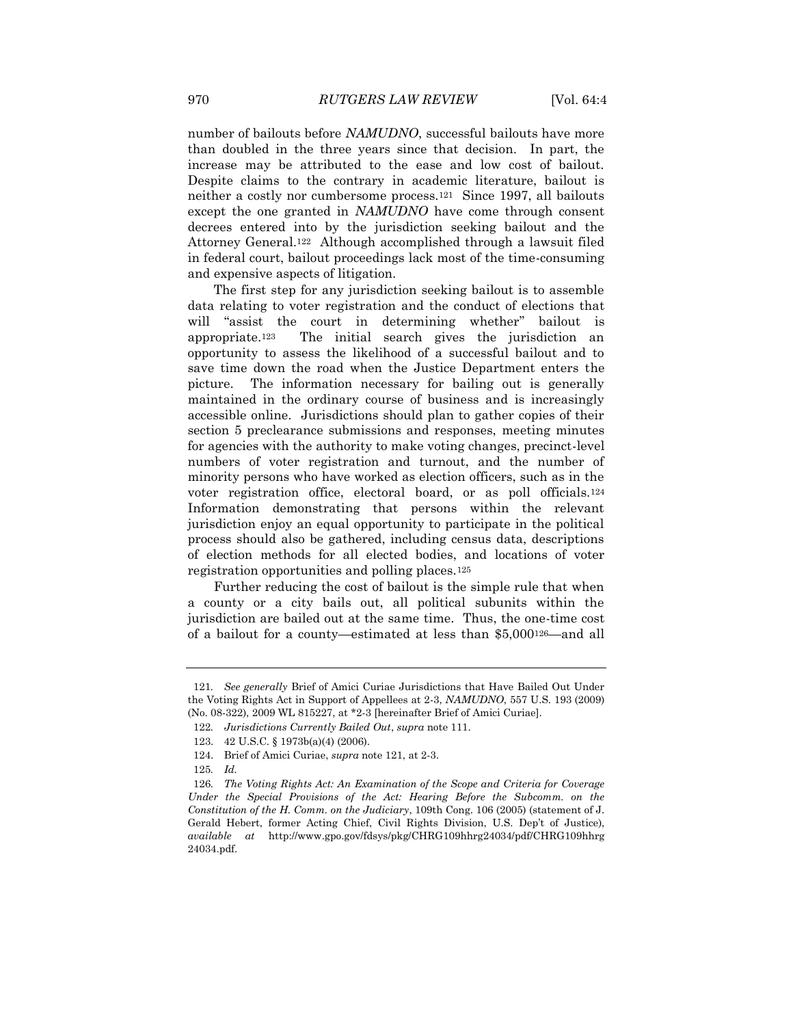number of bailouts before *NAMUDNO*, successful bailouts have more than doubled in the three years since that decision. In part, the increase may be attributed to the ease and low cost of bailout. Despite claims to the contrary in academic literature, bailout is neither a costly nor cumbersome process.121 Since 1997, all bailouts except the one granted in *NAMUDNO* have come through consent decrees entered into by the jurisdiction seeking bailout and the Attorney General.122 Although accomplished through a lawsuit filed in federal court, bailout proceedings lack most of the time-consuming and expensive aspects of litigation.

The first step for any jurisdiction seeking bailout is to assemble data relating to voter registration and the conduct of elections that will "assist the court in determining whether" bailout is appropriate.123 The initial search gives the jurisdiction an opportunity to assess the likelihood of a successful bailout and to save time down the road when the Justice Department enters the picture. The information necessary for bailing out is generally maintained in the ordinary course of business and is increasingly accessible online. Jurisdictions should plan to gather copies of their section 5 preclearance submissions and responses, meeting minutes for agencies with the authority to make voting changes, precinct-level numbers of voter registration and turnout, and the number of minority persons who have worked as election officers, such as in the voter registration office, electoral board, or as poll officials.<sup>124</sup> Information demonstrating that persons within the relevant jurisdiction enjoy an equal opportunity to participate in the political process should also be gathered, including census data, descriptions of election methods for all elected bodies, and locations of voter registration opportunities and polling places.<sup>125</sup>

Further reducing the cost of bailout is the simple rule that when a county or a city bails out, all political subunits within the jurisdiction are bailed out at the same time. Thus, the one-time cost of a bailout for a county—estimated at less than \$5,000126—and all

<sup>121</sup>*. See generally* Brief of Amici Curiae Jurisdictions that Have Bailed Out Under the Voting Rights Act in Support of Appellees at 2-3, *NAMUDNO*, 557 U.S. 193 (2009) (No. 08-322), 2009 WL 815227, at \*2-3 [hereinafter Brief of Amici Curiae].

<sup>122</sup>*. Jurisdictions Currently Bailed Out*, *supra* note 111.

<sup>123.</sup> 42 U.S.C. § 1973b(a)(4) (2006).

<sup>124.</sup> Brief of Amici Curiae, *supra* note 121, at 2-3.

<sup>125</sup>*. Id.*

<sup>126</sup>*. The Voting Rights Act: An Examination of the Scope and Criteria for Coverage Under the Special Provisions of the Act: Hearing Before the Subcomm. on the Constitution of the H. Comm. on the Judiciary*, 109th Cong. 106 (2005) (statement of J. Gerald Hebert, former Acting Chief, Civil Rights Division, U.S. Dep't of Justice), *available at* http://www.gpo.gov/fdsys/pkg/CHRG109hhrg24034/pdf/CHRG109hhrg 24034.pdf.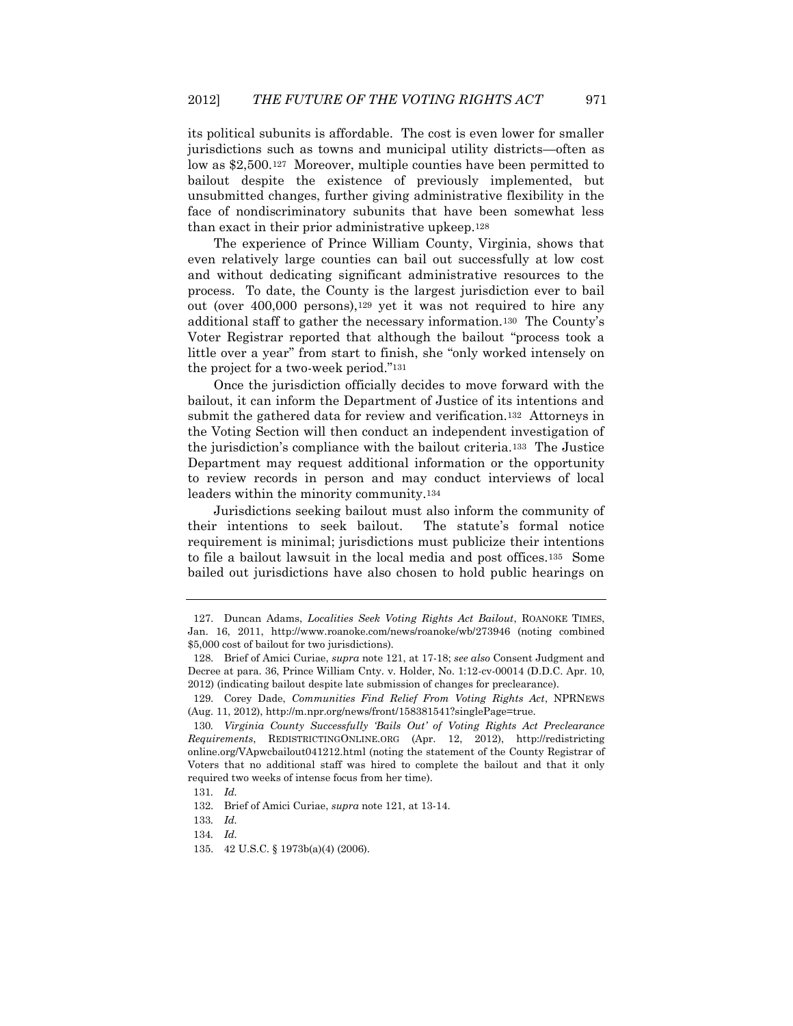its political subunits is affordable. The cost is even lower for smaller jurisdictions such as towns and municipal utility districts—often as low as \$2,500.127 Moreover, multiple counties have been permitted to bailout despite the existence of previously implemented, but unsubmitted changes, further giving administrative flexibility in the face of nondiscriminatory subunits that have been somewhat less than exact in their prior administrative upkeep.<sup>128</sup>

The experience of Prince William County, Virginia, shows that even relatively large counties can bail out successfully at low cost and without dedicating significant administrative resources to the process. To date, the County is the largest jurisdiction ever to bail out (over 400,000 persons),<sup>129</sup> yet it was not required to hire any additional staff to gather the necessary information.130 The County's Voter Registrar reported that although the bailout "process took a little over a year" from start to finish, she "only worked intensely on the project for a two-week period."<sup>131</sup>

Once the jurisdiction officially decides to move forward with the bailout, it can inform the Department of Justice of its intentions and submit the gathered data for review and verification.132 Attorneys in the Voting Section will then conduct an independent investigation of the jurisdiction's compliance with the bailout criteria.133 The Justice Department may request additional information or the opportunity to review records in person and may conduct interviews of local leaders within the minority community.<sup>134</sup>

Jurisdictions seeking bailout must also inform the community of their intentions to seek bailout. The statute's formal notice requirement is minimal; jurisdictions must publicize their intentions to file a bailout lawsuit in the local media and post offices.135 Some bailed out jurisdictions have also chosen to hold public hearings on

<sup>127.</sup> Duncan Adams, *Localities Seek Voting Rights Act Bailout*, ROANOKE TIMES, Jan. 16, 2011, http://www.roanoke.com/news/roanoke/wb/273946 (noting combined \$5,000 cost of bailout for two jurisdictions).

<sup>128.</sup> Brief of Amici Curiae, *supra* note 121, at 17-18; *see also* Consent Judgment and Decree at para. 36, Prince William Cnty. v. Holder, No. 1:12-cv-00014 (D.D.C. Apr. 10, 2012) (indicating bailout despite late submission of changes for preclearance).

<sup>129.</sup> Corey Dade, *Communities Find Relief From Voting Rights Act*, NPRNEWS (Aug. 11, 2012), http://m.npr.org/news/front/158381541?singlePage=true.

<sup>130</sup>*. Virginia County Successfully 'Bails Out' of Voting Rights Act Preclearance Requirements*, REDISTRICTINGONLINE.ORG (Apr. 12, 2012), http://redistricting online.org/VApwcbailout041212.html (noting the statement of the County Registrar of Voters that no additional staff was hired to complete the bailout and that it only required two weeks of intense focus from her time).

<sup>131</sup>*. Id.*

<sup>132.</sup> Brief of Amici Curiae, *supra* note 121, at 13-14.

<sup>133</sup>*. Id.*

<sup>134</sup>*. Id.*

<sup>135.</sup> 42 U.S.C. § 1973b(a)(4) (2006).